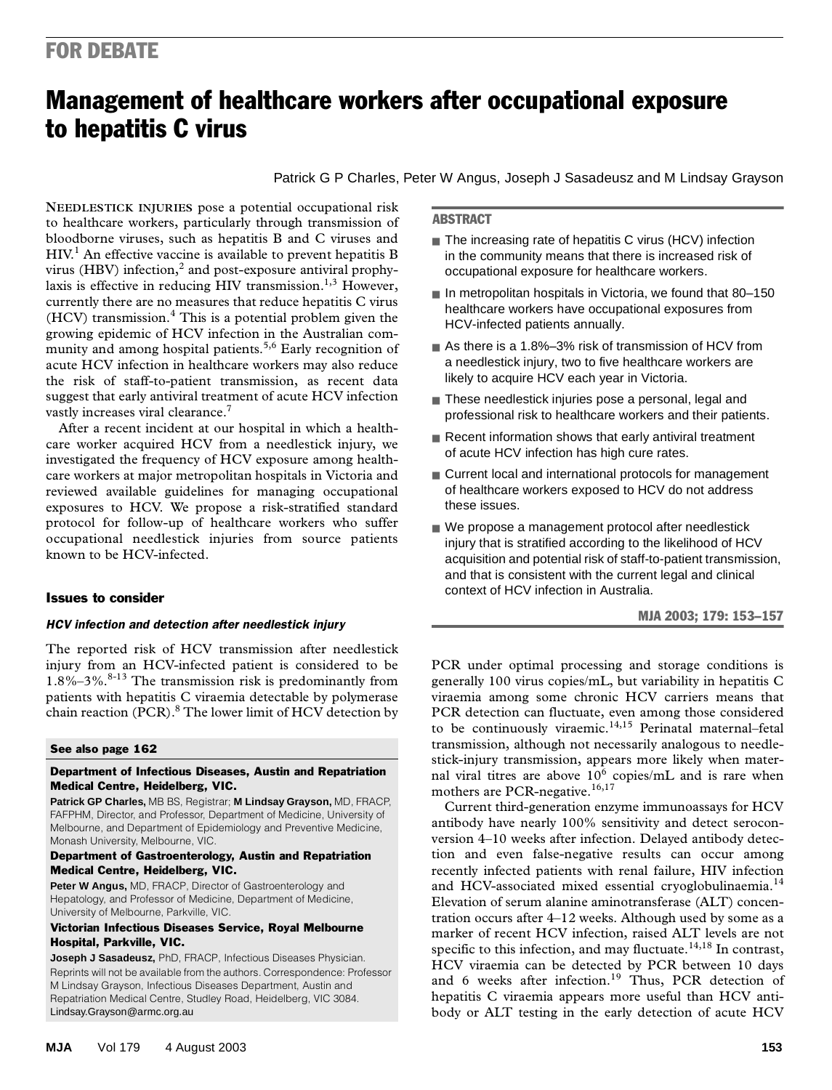## FOR DEBATE

# Management of healthcare workers after occupational exposure to hepatitis C virus

Patrick G P Charles, Peter W Angus, Joseph J Sasadeusz and M Lindsay Grayson

virus (HBV) infection,<sup>2</sup> and post-exposure antiviral prophylaxis is effective in reducing HIV transmission.<sup>1,3</sup> However, currently there are no measures that reduce hepatitis C virus  $HCV$  transmission.<sup>4</sup> This is a potential problem given the **NEEDLESTICK INJURIES** pose a potential occupational risk to healthcare workers, particularly through transmission of bloodborne viruses, such as hepatitis B and C viruses and HIV.<sup>1</sup> An effective vaccine is available to prevent hepatitis B growing epidemic of HCV infection in the Australian community and among hospital patients.<sup>5,6</sup> Early recognition of acute HCV infection in healthcare workers may also reduce the risk of staff-to-patient transmission, as recent data suggest that early antiviral treatment of acute HCV infection vastly increases viral clearance.<sup>7</sup>

After a recent incident at our hospital in which a healthcare worker acquired HCV from a needlestick injury, we investigated the frequency of HCV exposure among healthcare workers at major metropolitan hospitals in Victoria and reviewed available guidelines for managing occupational exposures to HCV. We propose a risk-stratified standard protocol for follow-up of healthcare workers who suffer occupational needlestick injuries from source patients known to be HCV-infected.

## Issues to consider

#### *HCV infection and detection after needlestick injury*

The reported risk of HCV transmission after needlestick injury from an HCV-infected patient is considered to be  $1.8\% - 3\%$ .<sup>8-13</sup> The transmission risk is predominantly from patients with hepatitis C viraemia detectable by polymerase chain reaction (PCR).<sup>8</sup> The lower limit of HCV detection by

#### See also page 162

#### Department of Infectious Diseases, Austin and Repatriation Medical Centre, Heidelberg, VIC.

**Patrick GP Charles,** MB BS, Registrar; **M Lindsay Grayson,** MD, FRACP, FAFPHM, Director, and Professor, Department of Medicine, University of Melbourne, and Department of Epidemiology and Preventive Medicine, Monash University, Melbourne, VIC.

#### Department of Gastroenterology, Austin and Repatriation Medical Centre, Heidelberg, VIC.

**Peter W Angus,** MD, FRACP, Director of Gastroenterology and Hepatology, and Professor of Medicine, Department of Medicine, University of Melbourne, Parkville, VIC.

#### Victorian Infectious Diseases Service, Royal Melbourne Hospital, Parkville, VIC.

**Joseph J Sasadeusz,** PhD, FRACP, Infectious Diseases Physician. Reprints will not be available from the authors. Correspondence: Professor M Lindsay Grayson, Infectious Diseases Department, Austin and Repatriation Medical Centre, Studley Road, Heidelberg, VIC 3084. Lindsay.Grayson@armc.org.au

#### ABSTRACT

- The increasing rate of hepatitis C virus (HCV) infection in the community means that there is increased risk of occupational exposure for healthcare workers.
- In metropolitan hospitals in Victoria, we found that 80-150 healthcare workers have occupational exposures from HCV-infected patients annually.
- As there is a 1.8%–3% risk of transmission of HCV from a needlestick injury, two to five healthcare workers are likely to acquire HCV each year in Victoria.
- These needlestick injuries pose a personal, legal and professional risk to healthcare workers and their patients.
- Recent information shows that early antiviral treatment of acute HCV infection has high cure rates.
- Current local and international protocols for management of healthcare workers exposed to HCV do not address these issues.
- We propose a management protocol after needlestick injury that is stratified according to the likelihood of HCV acquisition and potential risk of staff-to-patient transmission, and that is consistent with the current legal and clinical context of HCV infection in Australia.

MJA 2003; 179: 153–157

PCR under optimal processing and storage conditions is generally 100 virus copies/mL, but variability in hepatitis C viraemia among some chronic HCV carriers means that PCR detection can fluctuate, even among those considered to be continuously viraemic.<sup>14,15</sup> Perinatal maternal–fetal transmission, although not necessarily analogous to needlestick-injury transmission, appears more likely when maternal viral titres are above  $10^6$  copies/mL and is rare when mothers are PCR-negative.<sup>16,17</sup>

Current third-generation enzyme immunoassays for HCV antibody have nearly 100% sensitivity and detect seroconversion 4–10 weeks after infection. Delayed antibody detection and even false-negative results can occur among recently infected patients with renal failure, HIV infection and HCV-associated mixed essential cryoglobulinaemia.<sup>14</sup> Elevation of serum alanine aminotransferase (ALT) concentration occurs after 4–12 weeks. Although used by some as a marker of recent HCV infection, raised ALT levels are not specific to this infection, and may fluctuate.<sup>14,18</sup> In contrast, HCV viraemia can be detected by PCR between 10 days and 6 weeks after infection.<sup>19</sup> Thus, PCR detection of hepatitis C viraemia appears more useful than HCV antibody or ALT testing in the early detection of acute HCV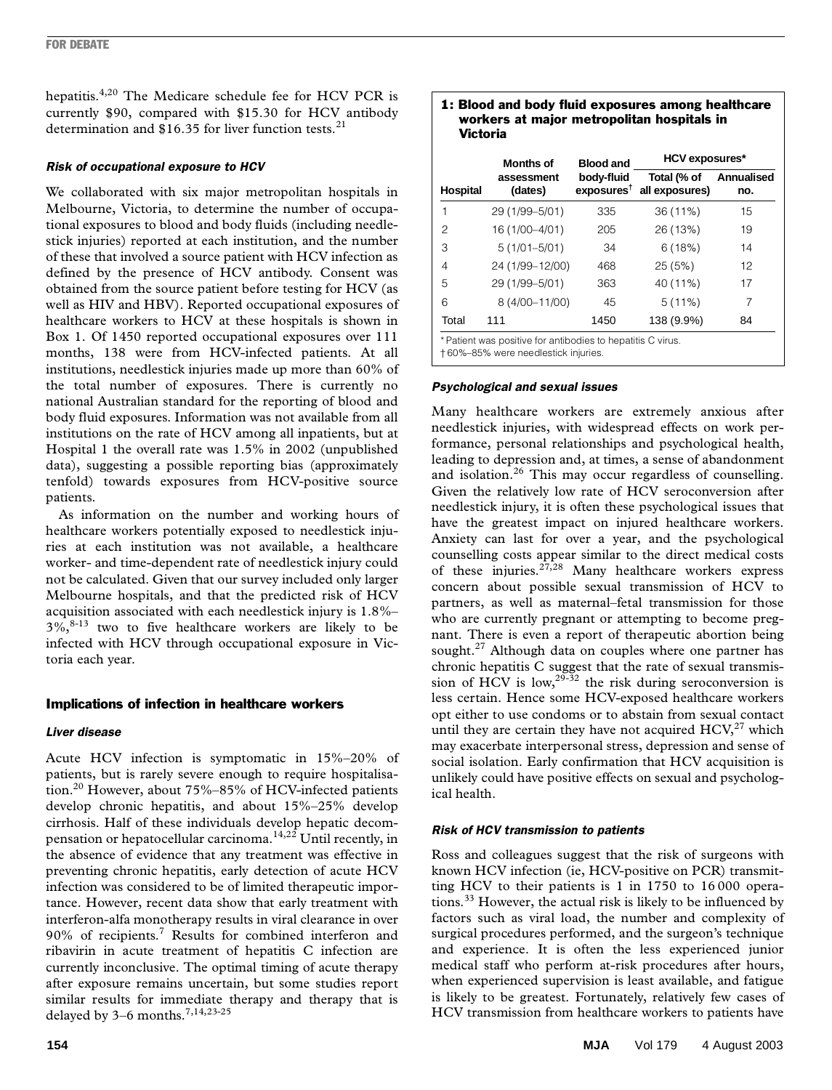hepatitis.4,20 The Medicare schedule fee for HCV PCR is currently \$90, compared with \$15.30 for HCV antibody determination and  $$16.35$  for liver function tests.<sup>21</sup>

## *Risk of occupational exposure to HCV*

We collaborated with six major metropolitan hospitals in Melbourne, Victoria, to determine the number of occupational exposures to blood and body fluids (including needlestick injuries) reported at each institution, and the number of these that involved a source patient with HCV infection as defined by the presence of HCV antibody. Consent was obtained from the source patient before testing for HCV (as well as HIV and HBV). Reported occupational exposures of healthcare workers to HCV at these hospitals is shown in Box 1. Of 1450 reported occupational exposures over 111 months, 138 were from HCV-infected patients. At all institutions, needlestick injuries made up more than 60% of the total number of exposures. There is currently no national Australian standard for the reporting of blood and body fluid exposures. Information was not available from all institutions on the rate of HCV among all inpatients, but at Hospital 1 the overall rate was 1.5% in 2002 (unpublished data), suggesting a possible reporting bias (approximately tenfold) towards exposures from HCV-positive source patients.

As information on the number and working hours of healthcare workers potentially exposed to needlestick injuries at each institution was not available, a healthcare worker- and time-dependent rate of needlestick injury could not be calculated. Given that our survey included only larger Melbourne hospitals, and that the predicted risk of HCV acquisition associated with each needlestick injury is 1.8%–  $3\%$ <sup>8-13</sup> two to five healthcare workers are likely to be infected with HCV through occupational exposure in Victoria each year.

## Implications of infection in healthcare workers

## *Liver disease*

Acute HCV infection is symptomatic in 15%–20% of patients, but is rarely severe enough to require hospitalisation.20 However, about 75%–85% of HCV-infected patients develop chronic hepatitis, and about 15%–25% develop cirrhosis. Half of these individuals develop hepatic decompensation or hepatocellular carcinoma.<sup>14,22</sup> Until recently, in the absence of evidence that any treatment was effective in preventing chronic hepatitis, early detection of acute HCV infection was considered to be of limited therapeutic importance. However, recent data show that early treatment with interferon-alfa monotherapy results in viral clearance in over 90% of recipients.<sup>7</sup> Results for combined interferon and ribavirin in acute treatment of hepatitis C infection are currently inconclusive. The optimal timing of acute therapy after exposure remains uncertain, but some studies report similar results for immediate therapy and therapy that is delayed by  $3-6$  months.<sup>7,14,23-25</sup>

#### 1: Blood and body fluid exposures among healthcare workers at major metropolitan hospitals in Victoria

|                                                            | <b>Months of</b>      | <b>Blood and</b>                     | <b>HCV exposures*</b>         |                          |
|------------------------------------------------------------|-----------------------|--------------------------------------|-------------------------------|--------------------------|
| Hospital                                                   | assessment<br>(dates) | body-fluid<br>exposures <sup>†</sup> | Total (% of<br>all exposures) | <b>Annualised</b><br>no. |
| 1                                                          | 29 (1/99-5/01)        | 335                                  | 36 (11%)                      | 15                       |
| 2                                                          | 16 (1/00-4/01)        | 205                                  | 26 (13%)                      | 19                       |
| 3                                                          | $5(1/01-5/01)$        | 34                                   | 6(18%)                        | 14                       |
| 4                                                          | 24 (1/99-12/00)       | 468                                  | 25(5%)                        | 12                       |
| 5                                                          | 29 (1/99-5/01)        | 363                                  | 40 (11%)                      | 17                       |
| 6                                                          | 8 (4/00-11/00)        | 45                                   | 5(11%)                        | 7                        |
| Total                                                      | 111                   | 1450                                 | 138 (9.9%)                    | 84                       |
| * Patient was positive for antibodies to benatitis C virus |                       |                                      |                               |                          |

\* Patient was positive for antibodies to hepatitis C virus. † 60%–85% were needlestick injuries.

## *Psychological and sexual issues*

Many healthcare workers are extremely anxious after needlestick injuries, with widespread effects on work performance, personal relationships and psychological health, leading to depression and, at times, a sense of abandonment and isolation.<sup>26</sup> This may occur regardless of counselling. Given the relatively low rate of HCV seroconversion after needlestick injury, it is often these psychological issues that have the greatest impact on injured healthcare workers. Anxiety can last for over a year, and the psychological counselling costs appear similar to the direct medical costs of these injuries.<sup>27,28</sup> Many healthcare workers express concern about possible sexual transmission of HCV to partners, as well as maternal–fetal transmission for those who are currently pregnant or attempting to become pregnant. There is even a report of therapeutic abortion being sought.<sup>27</sup> Although data on couples where one partner has chronic hepatitis C suggest that the rate of sexual transmission of HCV is low,  $2^{9-32}$  the risk during seroconversion is less certain. Hence some HCV-exposed healthcare workers opt either to use condoms or to abstain from sexual contact until they are certain they have not acquired  $HCV<sub>1</sub><sup>27</sup>$  which may exacerbate interpersonal stress, depression and sense of social isolation. Early confirmation that HCV acquisition is unlikely could have positive effects on sexual and psychological health.

## *Risk of HCV transmission to patients*

Ross and colleagues suggest that the risk of surgeons with known HCV infection (ie, HCV-positive on PCR) transmitting HCV to their patients is 1 in 1750 to 16 000 operations.<sup>33</sup> However, the actual risk is likely to be influenced by factors such as viral load, the number and complexity of surgical procedures performed, and the surgeon's technique and experience. It is often the less experienced junior medical staff who perform at-risk procedures after hours, when experienced supervision is least available, and fatigue is likely to be greatest. Fortunately, relatively few cases of HCV transmission from healthcare workers to patients have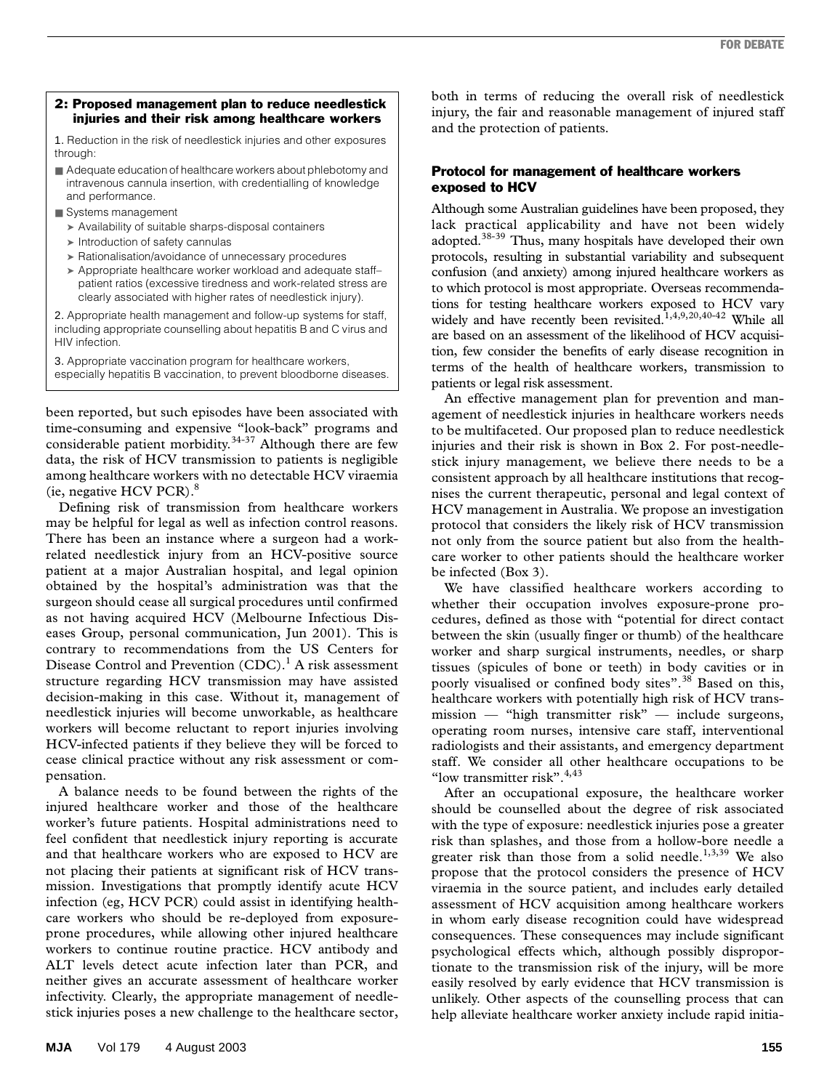#### 2: Proposed management plan to reduce needlestick injuries and their risk among healthcare workers

1. Reduction in the risk of needlestick injuries and other exposures through:

- Adequate education of healthcare workers about phlebotomy and intravenous cannula insertion, with credentialling of knowledge and performance.
- Systems management
	- ➤ Availability of suitable sharps-disposal containers
	- ➤ Introduction of safety cannulas
	- ➤ Rationalisation/avoidance of unnecessary procedures
	- ➤ Appropriate healthcare worker workload and adequate staff– patient ratios (excessive tiredness and work-related stress are clearly associated with higher rates of needlestick injury).

2. Appropriate health management and follow-up systems for staff, including appropriate counselling about hepatitis B and C virus and HIV infection.

3. Appropriate vaccination program for healthcare workers, especially hepatitis B vaccination, to prevent bloodborne diseases.

been reported, but such episodes have been associated with time-consuming and expensive "look-back" programs and considerable patient morbidity. $34-37$  Although there are few data, the risk of HCV transmission to patients is negligible among healthcare workers with no detectable HCV viraemia (ie, negative HCV PCR). $8$ 

Defining risk of transmission from healthcare workers may be helpful for legal as well as infection control reasons. There has been an instance where a surgeon had a workrelated needlestick injury from an HCV-positive source patient at a major Australian hospital, and legal opinion obtained by the hospital's administration was that the surgeon should cease all surgical procedures until confirmed as not having acquired HCV (Melbourne Infectious Diseases Group, personal communication, Jun 2001). This is contrary to recommendations from the US Centers for Disease Control and Prevention (CDC).<sup>1</sup> A risk assessment structure regarding HCV transmission may have assisted decision-making in this case. Without it, management of needlestick injuries will become unworkable, as healthcare workers will become reluctant to report injuries involving HCV-infected patients if they believe they will be forced to cease clinical practice without any risk assessment or compensation.

A balance needs to be found between the rights of the injured healthcare worker and those of the healthcare worker's future patients. Hospital administrations need to feel confident that needlestick injury reporting is accurate and that healthcare workers who are exposed to HCV are not placing their patients at significant risk of HCV transmission. Investigations that promptly identify acute HCV infection (eg, HCV PCR) could assist in identifying healthcare workers who should be re-deployed from exposureprone procedures, while allowing other injured healthcare workers to continue routine practice. HCV antibody and ALT levels detect acute infection later than PCR, and neither gives an accurate assessment of healthcare worker infectivity. Clearly, the appropriate management of needlestick injuries poses a new challenge to the healthcare sector, both in terms of reducing the overall risk of needlestick injury, the fair and reasonable management of injured staff and the protection of patients.

## Protocol for management of healthcare workers exposed to HCV

Although some Australian guidelines have been proposed, they lack practical applicability and have not been widely adopted.<sup>38-39</sup> Thus, many hospitals have developed their own protocols, resulting in substantial variability and subsequent confusion (and anxiety) among injured healthcare workers as to which protocol is most appropriate. Overseas recommendations for testing healthcare workers exposed to HCV vary widely and have recently been revisited.<sup>1,4,9,20,40-42</sup> While all are based on an assessment of the likelihood of HCV acquisition, few consider the benefits of early disease recognition in terms of the health of healthcare workers, transmission to patients or legal risk assessment.

An effective management plan for prevention and management of needlestick injuries in healthcare workers needs to be multifaceted. Our proposed plan to reduce needlestick injuries and their risk is shown in Box 2. For post-needlestick injury management, we believe there needs to be a consistent approach by all healthcare institutions that recognises the current therapeutic, personal and legal context of HCV management in Australia. We propose an investigation protocol that considers the likely risk of HCV transmission not only from the source patient but also from the healthcare worker to other patients should the healthcare worker be infected (Box 3).

We have classified healthcare workers according to whether their occupation involves exposure-prone procedures, defined as those with "potential for direct contact between the skin (usually finger or thumb) of the healthcare worker and sharp surgical instruments, needles, or sharp tissues (spicules of bone or teeth) in body cavities or in poorly visualised or confined body sites".<sup>38</sup> Based on this, healthcare workers with potentially high risk of HCV transmission — "high transmitter risk" — include surgeons, operating room nurses, intensive care staff, interventional radiologists and their assistants, and emergency department staff. We consider all other healthcare occupations to be "low transmitter risk".<sup>4,43</sup>

After an occupational exposure, the healthcare worker should be counselled about the degree of risk associated with the type of exposure: needlestick injuries pose a greater risk than splashes, and those from a hollow-bore needle a greater risk than those from a solid needle.<sup>1,3,39</sup> We also propose that the protocol considers the presence of HCV viraemia in the source patient, and includes early detailed assessment of HCV acquisition among healthcare workers in whom early disease recognition could have widespread consequences. These consequences may include significant psychological effects which, although possibly disproportionate to the transmission risk of the injury, will be more easily resolved by early evidence that HCV transmission is unlikely. Other aspects of the counselling process that can help alleviate healthcare worker anxiety include rapid initia-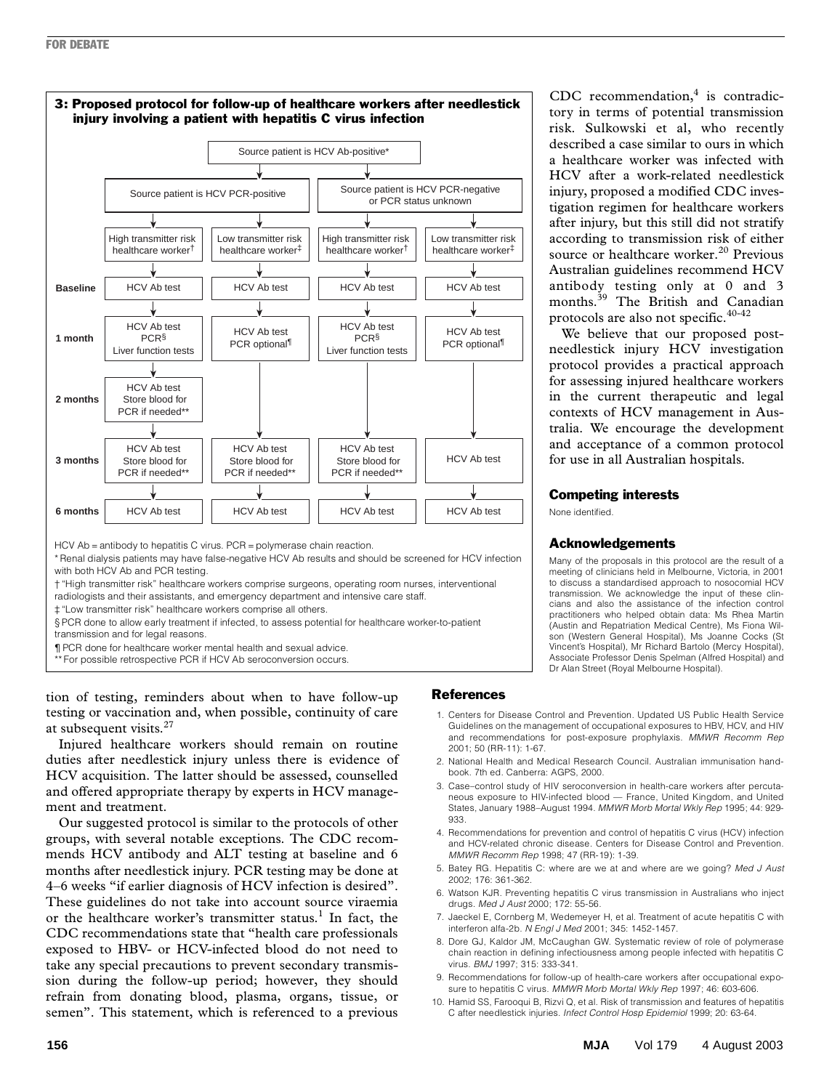

† "High transmitter risk" healthcare workers comprise surgeons, operating room nurses, interventional

radiologists and their assistants, and emergency department and intensive care staff.

‡ "Low transmitter risk" healthcare workers comprise all others.

§ PCR done to allow early treatment if infected, to assess potential for healthcare worker-to-patient transmission and for legal reasons.

¶ PCR done for healthcare worker mental health and sexual advice.

\*\* For possible retrospective PCR if HCV Ab seroconversion occurs.

tion of testing, reminders about when to have follow-up testing or vaccination and, when possible, continuity of care at subsequent visits.<sup>27</sup>

Injured healthcare workers should remain on routine duties after needlestick injury unless there is evidence of HCV acquisition. The latter should be assessed, counselled and offered appropriate therapy by experts in HCV management and treatment.

Our suggested protocol is similar to the protocols of other groups, with several notable exceptions. The CDC recommends HCV antibody and ALT testing at baseline and 6 months after needlestick injury. PCR testing may be done at 4–6 weeks "if earlier diagnosis of HCV infection is desired". These guidelines do not take into account source viraemia or the healthcare worker's transmitter status.<sup>1</sup> In fact, the CDC recommendations state that "health care professionals exposed to HBV- or HCV-infected blood do not need to take any special precautions to prevent secondary transmission during the follow-up period; however, they should refrain from donating blood, plasma, organs, tissue, or semen". This statement, which is referenced to a previous CDC recommendation, $4$  is contradictory in terms of potential transmission risk. Sulkowski et al, who recently described a case similar to ours in which a healthcare worker was infected with HCV after a work-related needlestick injury, proposed a modified CDC investigation regimen for healthcare workers after injury, but this still did not stratify according to transmission risk of either source or healthcare worker.<sup>20</sup> Previous Australian guidelines recommend HCV antibody testing only at 0 and 3 months.39 The British and Canadian protocols are also not specific.<sup>40-42</sup>

We believe that our proposed postneedlestick injury HCV investigation protocol provides a practical approach for assessing injured healthcare workers in the current therapeutic and legal contexts of HCV management in Australia. We encourage the development and acceptance of a common protocol for use in all Australian hospitals.

## Competing interests

None identified.

## Acknowledgements

Many of the proposals in this protocol are the result of a meeting of clinicians held in Melbourne, Victoria, in 2001 to discuss a standardised approach to nosocomial HCV transmission. We acknowledge the input of these clincians and also the assistance of the infection control practitioners who helped obtain data: Ms Rhea Martin (Austin and Repatriation Medical Centre), Ms Fiona Wilson (Western General Hospital), Ms Joanne Cocks (St Vincent's Hospital), Mr Richard Bartolo (Mercy Hospital), Associate Professor Denis Spelman (Alfred Hospital) and Dr Alan Street (Royal Melbourne Hospital).

## References

- 1. Centers for Disease Control and Prevention. Updated US Public Health Service Guidelines on the management of occupational exposures to HBV, HCV, and HIV and recommendations for post-exposure prophylaxis. *MMWR Recomm Rep* 2001; 50 (RR-11): 1-67.
- 2. National Health and Medical Research Council. Australian immunisation handbook. 7th ed. Canberra: AGPS, 2000.
- 3. Case–control study of HIV seroconversion in health-care workers after percutaneous exposure to HIV-infected blood — France, United Kingdom, and United States, January 1988–August 1994. *MMWR Morb Mortal Wkly Rep* 1995; 44: 929- 933.
- 4. Recommendations for prevention and control of hepatitis C virus (HCV) infection and HCV-related chronic disease. Centers for Disease Control and Prevention. *MMWR Recomm Rep* 1998; 47 (RR-19): 1-39.
- 5. Batey RG. Hepatitis C: where are we at and where are we going? *Med J Aust* 2002; 176: 361-362.
- 6. Watson KJR. Preventing hepatitis C virus transmission in Australians who inject drugs. *Med J Aust* 2000; 172: 55-56.
- 7. Jaeckel E, Cornberg M, Wedemeyer H, et al. Treatment of acute hepatitis C with interferon alfa-2b. *N Engl J Med* 2001; 345: 1452-1457.
- 8. Dore GJ, Kaldor JM, McCaughan GW. Systematic review of role of polymerase chain reaction in defining infectiousness among people infected with hepatitis C virus. *BMJ* 1997; 315: 333-341.
- 9. Recommendations for follow-up of health-care workers after occupational exposure to hepatitis C virus. *MMWR Morb Mortal Wkly Rep* 1997; 46: 603-606.
- 10. Hamid SS, Farooqui B, Rizvi Q, et al. Risk of transmission and features of hepatitis C after needlestick injuries. *Infect Control Hosp Epidemiol* 1999; 20: 63-64.